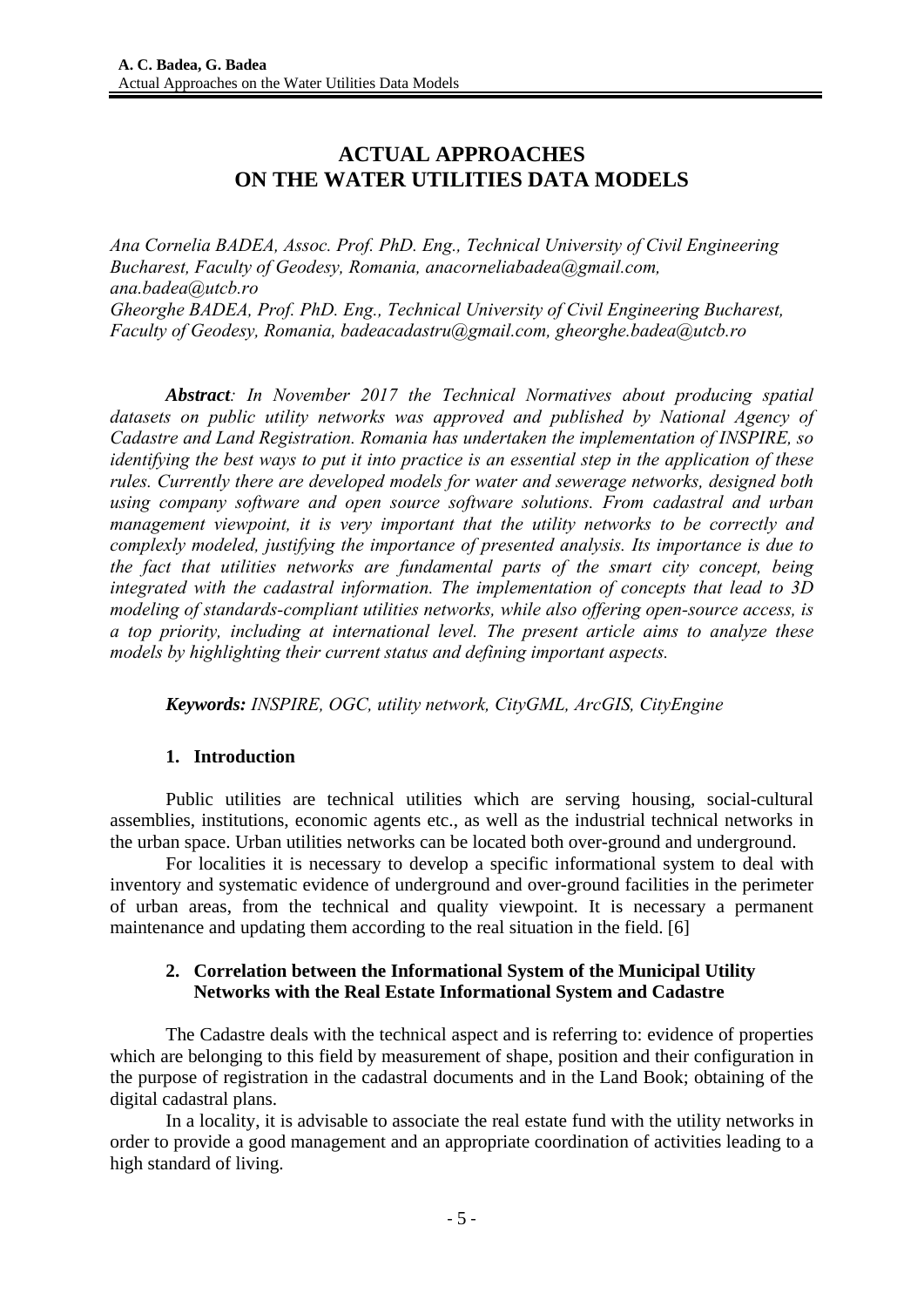# **ACTUAL APPROACHES ON THE WATER UTILITIES DATA MODELS**

*Ana Cornelia BADEA, Assoc. Prof. PhD. Eng., Technical University of Civil Engineering Bucharest, Faculty of Geodesy, Romania, anacorneliabadea@gmail.com, ana.badea@utcb.ro Gheorghe BADEA, Prof. PhD. Eng., Technical University of Civil Engineering Bucharest, Faculty of Geodesy, Romania, badeacadastru@gmail.com, gheorghe.badea@utcb.ro* 

*Abstract: In November 2017 the Technical Normatives about producing spatial datasets on public utility networks was approved and published by National Agency of Cadastre and Land Registration. Romania has undertaken the implementation of INSPIRE, so identifying the best ways to put it into practice is an essential step in the application of these rules. Currently there are developed models for water and sewerage networks, designed both using company software and open source software solutions. From cadastral and urban management viewpoint, it is very important that the utility networks to be correctly and complexly modeled, justifying the importance of presented analysis. Its importance is due to the fact that utilities networks are fundamental parts of the smart city concept, being integrated with the cadastral information. The implementation of concepts that lead to 3D modeling of standards-compliant utilities networks, while also offering open-source access, is a top priority, including at international level. The present article aims to analyze these models by highlighting their current status and defining important aspects.*

*Keywords: INSPIRE, OGC, utility network, CityGML, ArcGIS, CityEngine*

## **1. Introduction**

Public utilities are technical utilities which are serving housing, social-cultural assemblies, institutions, economic agents etc., as well as the industrial technical networks in the urban space. Urban utilities networks can be located both over-ground and underground.

For localities it is necessary to develop a specific informational system to deal with inventory and systematic evidence of underground and over-ground facilities in the perimeter of urban areas, from the technical and quality viewpoint. It is necessary a permanent maintenance and updating them according to the real situation in the field. [6]

## **2. Correlation between the Informational System of the Municipal Utility Networks with the Real Estate Informational System and Cadastre**

The Cadastre deals with the technical aspect and is referring to: evidence of properties which are belonging to this field by measurement of shape, position and their configuration in the purpose of registration in the cadastral documents and in the Land Book; obtaining of the digital cadastral plans.

In a locality, it is advisable to associate the real estate fund with the utility networks in order to provide a good management and an appropriate coordination of activities leading to a high standard of living.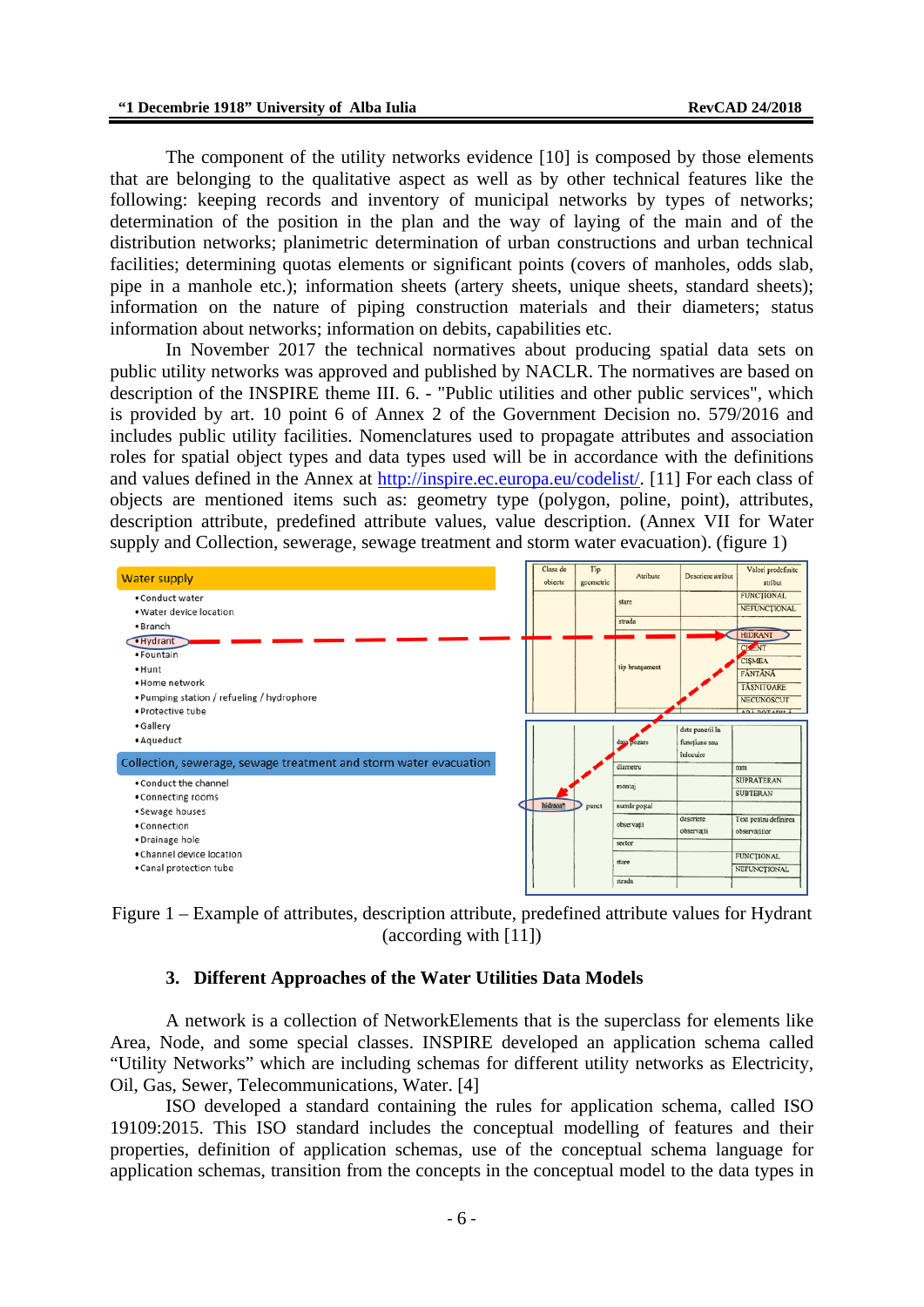The component of the utility networks evidence [10] is composed by those elements that are belonging to the qualitative aspect as well as by other technical features like the following: keeping records and inventory of municipal networks by types of networks; determination of the position in the plan and the way of laying of the main and of the distribution networks; planimetric determination of urban constructions and urban technical facilities; determining quotas elements or significant points (covers of manholes, odds slab, pipe in a manhole etc.); information sheets (artery sheets, unique sheets, standard sheets); information on the nature of piping construction materials and their diameters; status information about networks; information on debits, capabilities etc.

In November 2017 the technical normatives about producing spatial data sets on public utility networks was approved and published by NACLR. The normatives are based on description of the INSPIRE theme III. 6. - "Public utilities and other public services", which is provided by art. 10 point 6 of Annex 2 of the Government Decision no. 579/2016 and includes public utility facilities. Nomenclatures used to propagate attributes and association roles for spatial object types and data types used will be in accordance with the definitions and values defined in the Annex at http://inspire.ec.europa.eu/codelist/. [11] For each class of objects are mentioned items such as: geometry type (polygon, poline, point), attributes, description attribute, predefined attribute values, value description. (Annex VII for Water supply and Collection, sewerage, sewage treatment and storm water evacuation). (figure 1)



Figure 1 – Example of attributes, description attribute, predefined attribute values for Hydrant (according with [11])

#### **3. Different Approaches of the Water Utilities Data Models**

A network is a collection of NetworkElements that is the superclass for elements like Area, Node, and some special classes. INSPIRE developed an application schema called "Utility Networks" which are including schemas for different utility networks as Electricity, Oil, Gas, Sewer, Telecommunications, Water. [4]

ISO developed a standard containing the rules for application schema, called ISO 19109:2015. This ISO standard includes the conceptual modelling of features and their properties, definition of application schemas, use of the conceptual schema language for application schemas, transition from the concepts in the conceptual model to the data types in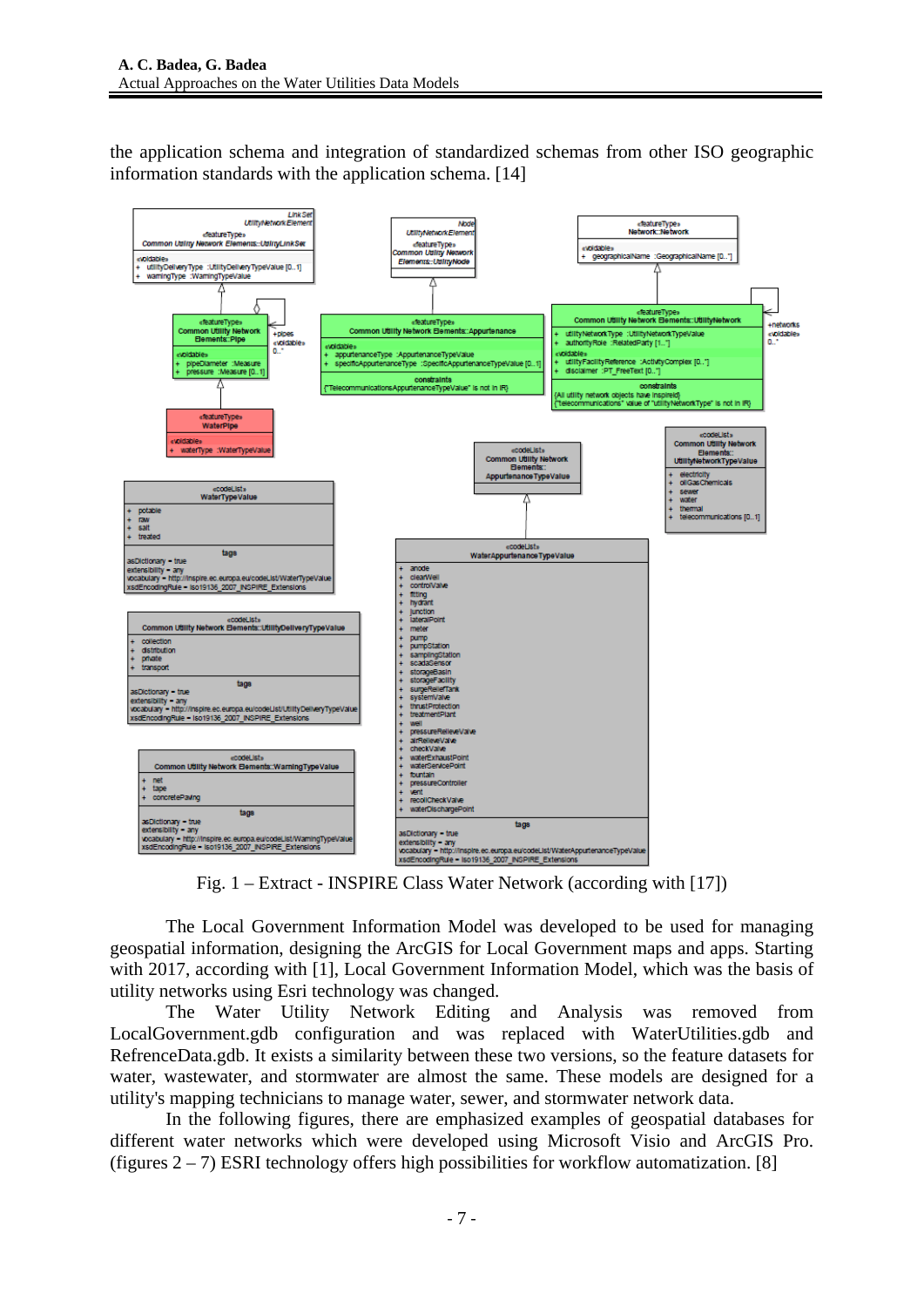the application schema and integration of standardized schemas from other ISO geographic information standards with the application schema. [14]



The Local Government Information Model was developed to be used for managing geospatial information, designing the ArcGIS for Local Government maps and apps. Starting with 2017, according with [1], Local Government Information Model, which was the basis of utility networks using Esri technology was changed.

The Water Utility Network Editing and Analysis was removed from LocalGovernment.gdb configuration and was replaced with WaterUtilities.gdb and RefrenceData.gdb. It exists a similarity between these two versions, so the feature datasets for water, wastewater, and stormwater are almost the same. These models are designed for a utility's mapping technicians to manage water, sewer, and stormwater network data.

In the following figures, there are emphasized examples of geospatial databases for different water networks which were developed using Microsoft Visio and ArcGIS Pro. (figures  $2 - 7$ ) ESRI technology offers high possibilities for workflow automatization. [8]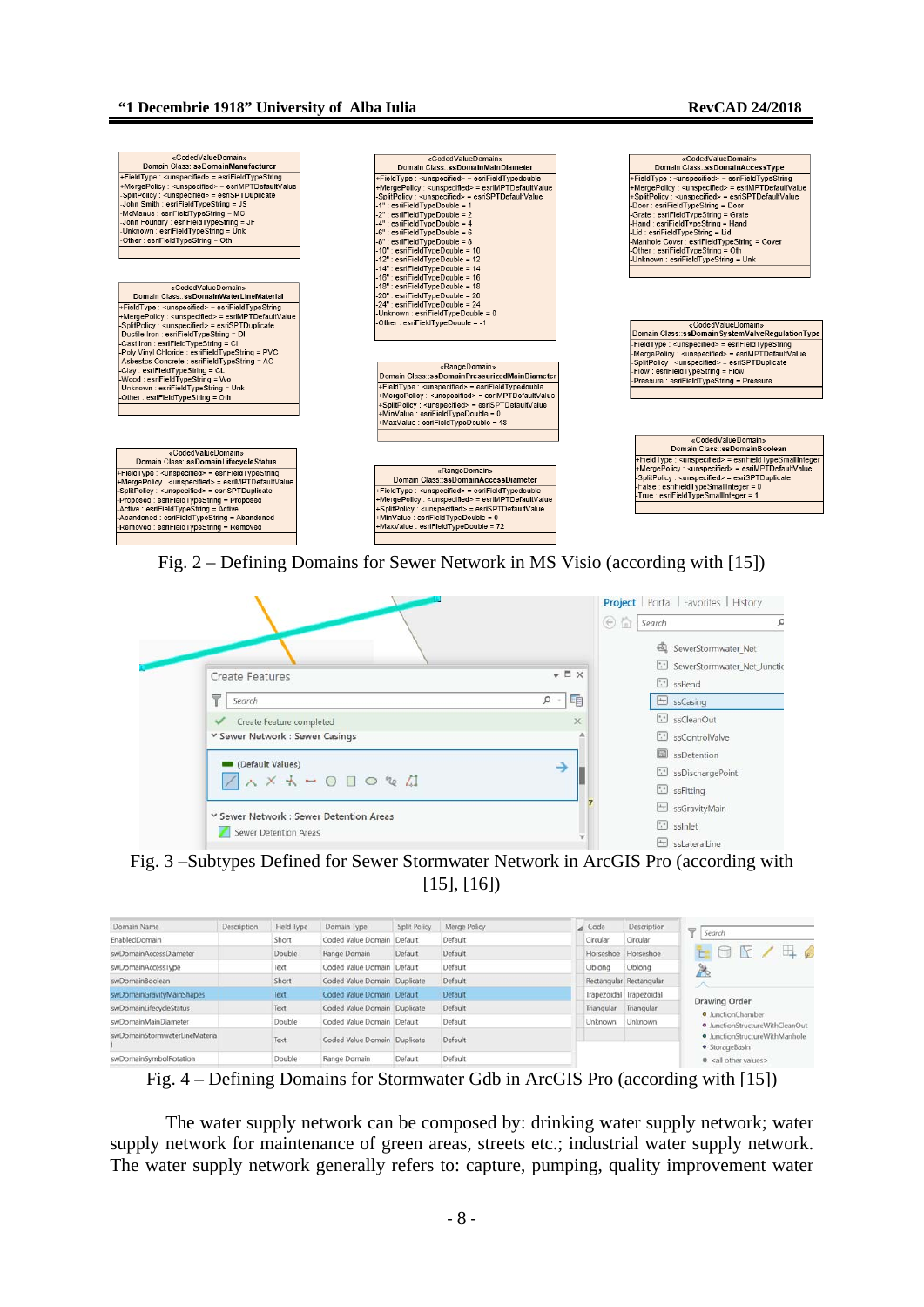





Fig. 3 –Subtypes Defined for Sewer Stormwater Network in ArcGIS Pro (according with [15], [16])

| Domain Name                   | Description | Field Type | Domain Type                  | Split Policy | Merge Policy | A Code     | Description             | ₩<br>Search                                      |
|-------------------------------|-------------|------------|------------------------------|--------------|--------------|------------|-------------------------|--------------------------------------------------|
| EnabledDomain                 |             | Short      | Coded Value Domain Default   |              | Default      | Circular   | Circular                |                                                  |
| swDomainAccessDiameter        |             | Double     | Range Domain                 | Default      | Default      | Horseshoe  | Horseshoe               | $\Box$<br>$\blacksquare$<br>F.                   |
| swDomainAccessType            |             | Text       | Coded Value Domain Default   |              | Default      | Oblong     | Oblong                  | P.                                               |
| swDomainBoolean               |             | Short      | Coded Value Domain Duplicate |              | Default      |            | Rectangular Rectangular |                                                  |
| swDornainGravityMainShapes    |             | Text       | Coded Value Domain Default   |              | Default      |            | Trapezoidal Trapezoidal | Drawing Order                                    |
| swDomainLifecycleStatus       |             | Text       | Coded Value Domain Duplicate |              | Default      | Triangular | Triangular              | · JunctionChamber                                |
| swDomainMainDiameter          |             | Double     | Coded Value Domain Default   |              | Default      | Unknown    | Unknown                 | · JunctionStructureWithCleanOut                  |
| swDomainStormwaterLineMateria |             | Text       | Coded Value Domain Duplicate |              | Default      |            |                         | · JunctionStructureWithManhole<br>· StorageBasin |
| swDomainSymbolRotation        |             | Double     | Range Domain                 | Default      | Default      |            |                         | e <all other="" values=""></all>                 |
|                               |             |            |                              |              |              |            |                         |                                                  |

Fig. 4 – Defining Domains for Stormwater Gdb in ArcGIS Pro (according with [15])

The water supply network can be composed by: drinking water supply network; water supply network for maintenance of green areas, streets etc.; industrial water supply network. The water supply network generally refers to: capture, pumping, quality improvement water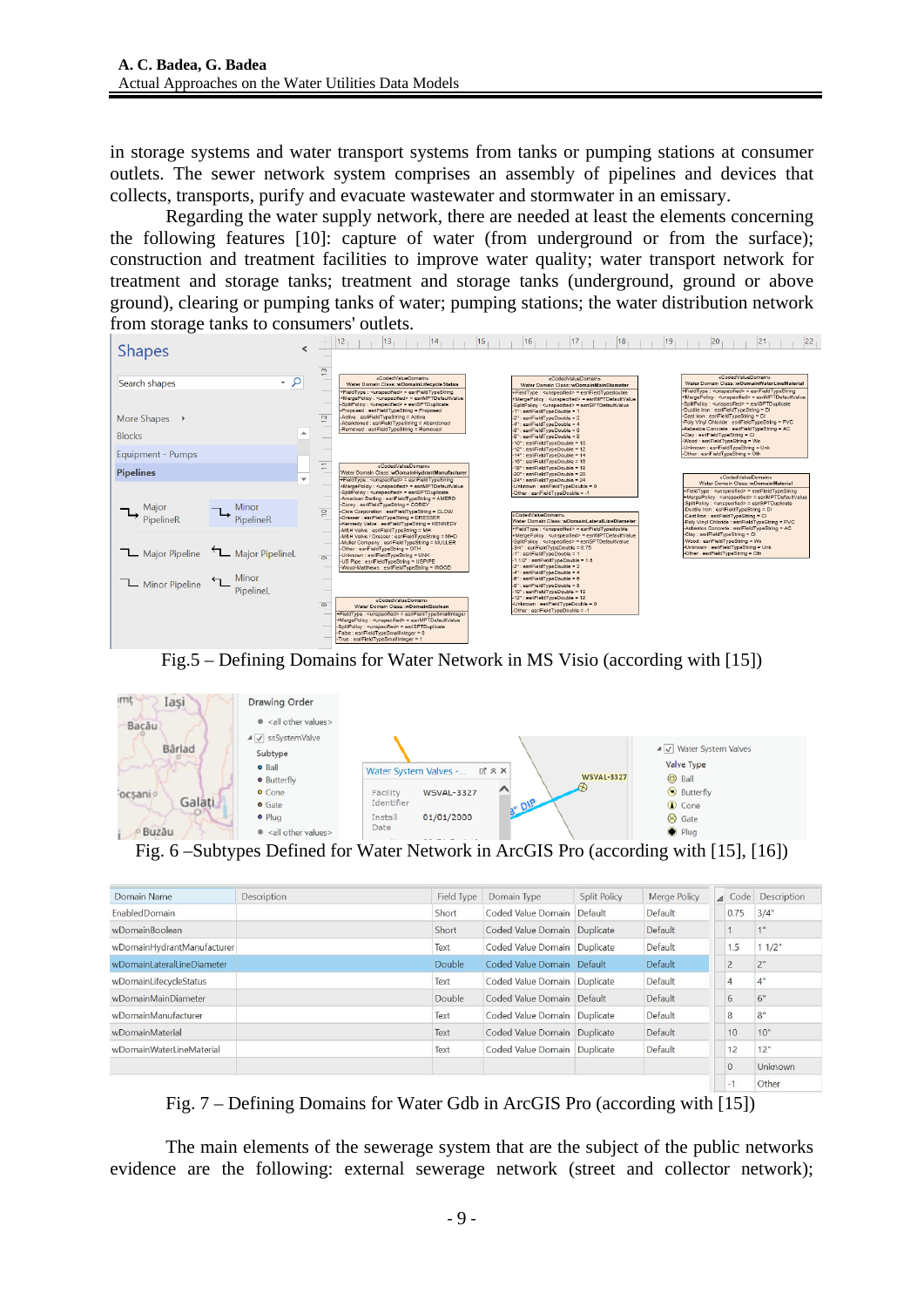in storage systems and water transport systems from tanks or pumping stations at consumer outlets. The sewer network system comprises an assembly of pipelines and devices that collects, transports, purify and evacuate wastewater and stormwater in an emissary.

Regarding the water supply network, there are needed at least the elements concerning the following features [10]: capture of water (from underground or from the surface); construction and treatment facilities to improve water quality; water transport network for treatment and storage tanks; treatment and storage tanks (underground, ground or above ground), clearing or pumping tanks of water; pumping stations; the water distribution network from storage tanks to consumers' outlets.



Fig.5 – Defining Domains for Water Network in MS Visio (according with [15])



| Domain Name                  | Description | Field Type | Domain Type                  | Split Policy | Merge Policy | $\overline{\mathcal{A}}$ | Code           | Description     |
|------------------------------|-------------|------------|------------------------------|--------------|--------------|--------------------------|----------------|-----------------|
| <b>EnabledDomain</b>         |             | Short      | Coded Value Domain Default   |              | Default      |                          | 0.75           | 3/4"            |
| wDomainBoolean               |             | Short      | Coded Value Domain Duplicate |              | Default      |                          |                | 1 <sup>11</sup> |
| wDomainHydrantManufacturer   |             | Text       | Coded Value Domain Duplicate |              | Default      |                          | 1.5            | 11/2"           |
| wDomainl aterall ineDiameter |             | Double     | Coded Value Domain Default   |              | Default      |                          | $\overline{2}$ | 2"              |
| wDomainLifecycleStatus       |             | Text       | Coded Value Domain Duplicate |              | Default      |                          | $\overline{4}$ | 4"              |
| wDomainMainDiameter          |             | Double     | Coded Value Domain Default   |              | Default      |                          | 6              | 6"              |
| wDomainManufacturer          |             | Text       | Coded Value Domain Duplicate |              | Default      |                          | 8              | 8"              |
| wDomainMaterial              |             | Text       | Coded Value Domain Duplicate |              | Default      |                          | 10             | 10"             |
| wDomainWaterLineMaterial     |             | Text       | Coded Value Domain Duplicate |              | Default      |                          | 12             | 12"             |
|                              |             |            |                              |              |              |                          |                | Unknown         |
|                              |             |            |                              |              |              |                          | $-1$           | Other           |

Fig. 7 – Defining Domains for Water Gdb in ArcGIS Pro (according with [15])

The main elements of the sewerage system that are the subject of the public networks evidence are the following: external sewerage network (street and collector network);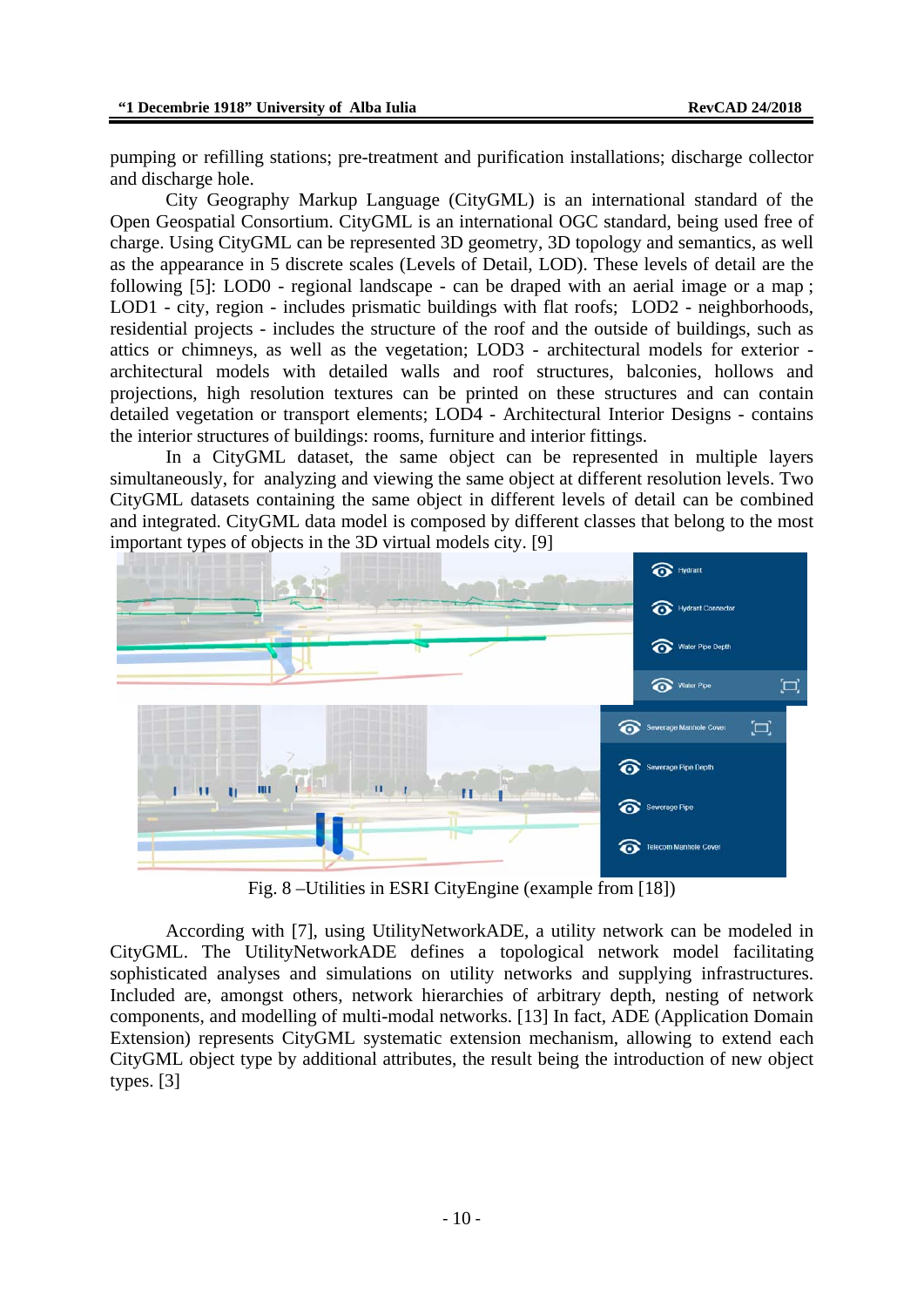pumping or refilling stations; pre-treatment and purification installations; discharge collector and discharge hole.

City Geography Markup Language (CityGML) is an international standard of the Open Geospatial Consortium. CityGML is an international OGC standard, being used free of charge. Using CityGML can be represented 3D geometry, 3D topology and semantics, as well as the appearance in 5 discrete scales (Levels of Detail, LOD). These levels of detail are the following [5]: LOD0 - regional landscape - can be draped with an aerial image or a map ; LOD1 - city, region - includes prismatic buildings with flat roofs; LOD2 - neighborhoods, residential projects - includes the structure of the roof and the outside of buildings, such as attics or chimneys, as well as the vegetation; LOD3 - architectural models for exterior architectural models with detailed walls and roof structures, balconies, hollows and projections, high resolution textures can be printed on these structures and can contain detailed vegetation or transport elements; LOD4 - Architectural Interior Designs - contains the interior structures of buildings: rooms, furniture and interior fittings.

In a CityGML dataset, the same object can be represented in multiple layers simultaneously, for analyzing and viewing the same object at different resolution levels. Two CityGML datasets containing the same object in different levels of detail can be combined and integrated. CityGML data model is composed by different classes that belong to the most important types of objects in the 3D virtual models city. [9]



Fig. 8 –Utilities in ESRI CityEngine (example from [18])

According with [7], using UtilityNetworkADE, a utility network can be modeled in CityGML. The UtilityNetworkADE defines a topological network model facilitating sophisticated analyses and simulations on utility networks and supplying infrastructures. Included are, amongst others, network hierarchies of arbitrary depth, nesting of network components, and modelling of multi-modal networks. [13] In fact, ADE (Application Domain Extension) represents CityGML systematic extension mechanism, allowing to extend each CityGML object type by additional attributes, the result being the introduction of new object types. [3]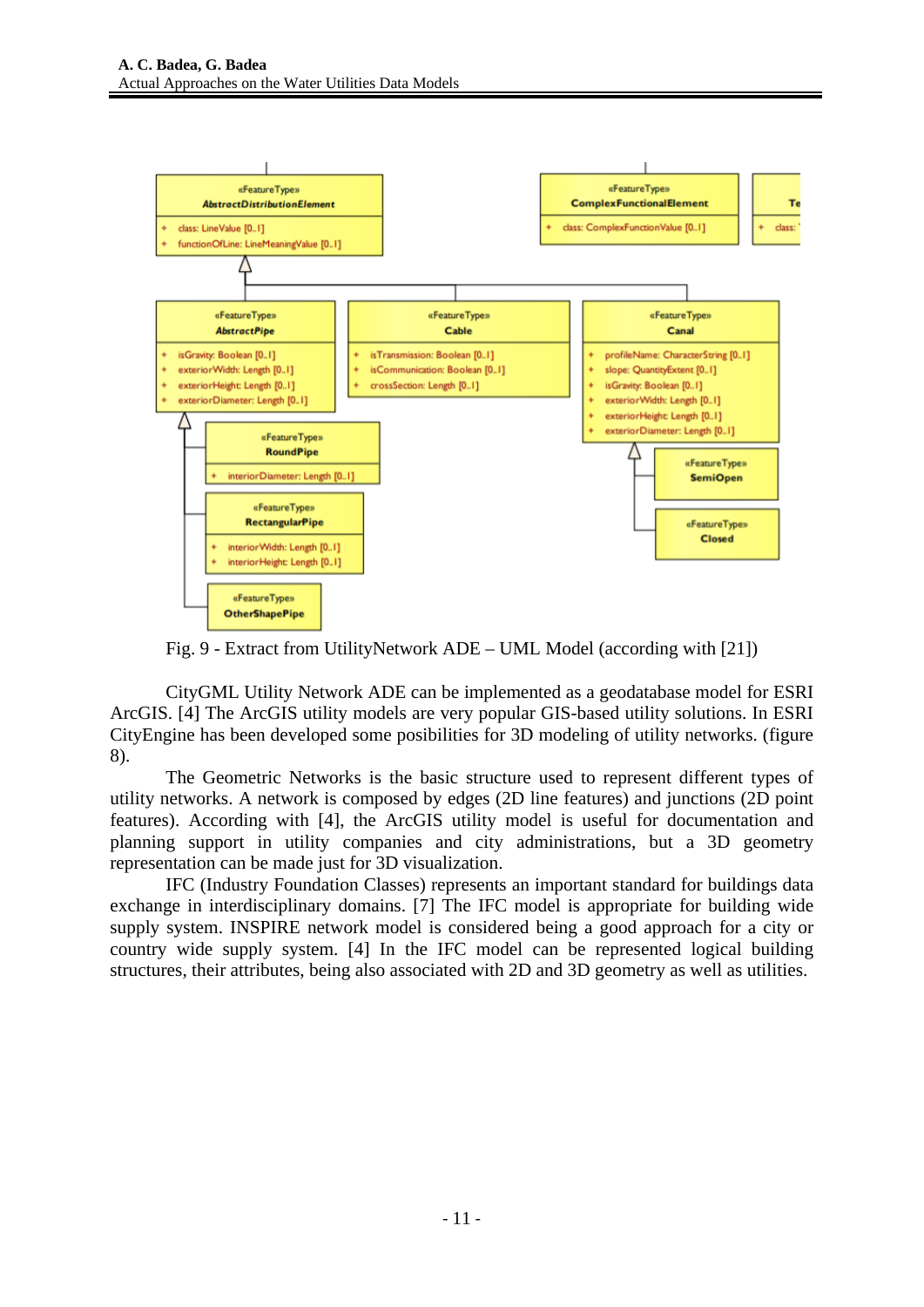

Fig. 9 - Extract from UtilityNetwork ADE – UML Model (according with [21])

CityGML Utility Network ADE can be implemented as a geodatabase model for ESRI ArcGIS. [4] The ArcGIS utility models are very popular GIS-based utility solutions. In ESRI CityEngine has been developed some posibilities for 3D modeling of utility networks. (figure 8).

The Geometric Networks is the basic structure used to represent different types of utility networks. A network is composed by edges (2D line features) and junctions (2D point features). According with [4], the ArcGIS utility model is useful for documentation and planning support in utility companies and city administrations, but a 3D geometry representation can be made just for 3D visualization.

IFC (Industry Foundation Classes) represents an important standard for buildings data exchange in interdisciplinary domains. [7] The IFC model is appropriate for building wide supply system. INSPIRE network model is considered being a good approach for a city or country wide supply system. [4] In the IFC model can be represented logical building structures, their attributes, being also associated with 2D and 3D geometry as well as utilities.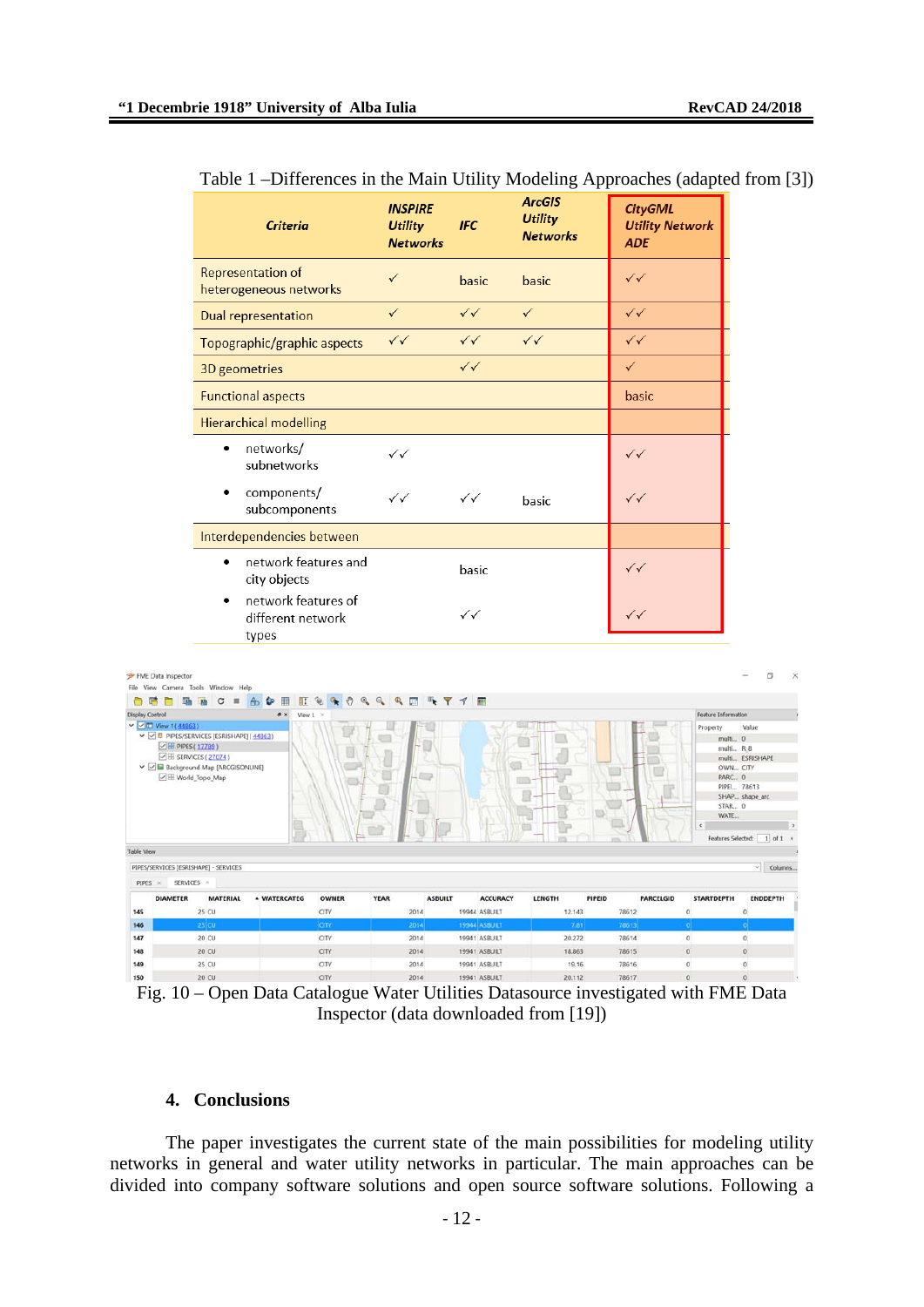|                              |                                                                                                                                     |                                                                                                                                      | <b>Criteria</b>                                    |              | <b>INSPIRE</b><br><b>Utility</b><br><b>Networks</b> | <b>IFC</b>                            | <b>ArcGIS</b><br><b>Utility</b><br><b>Networks</b> |                        | <b>CityGML</b><br><b>Utility Network</b><br><b>ADE</b> |                                                                             |                                                                            |  |
|------------------------------|-------------------------------------------------------------------------------------------------------------------------------------|--------------------------------------------------------------------------------------------------------------------------------------|----------------------------------------------------|--------------|-----------------------------------------------------|---------------------------------------|----------------------------------------------------|------------------------|--------------------------------------------------------|-----------------------------------------------------------------------------|----------------------------------------------------------------------------|--|
|                              |                                                                                                                                     |                                                                                                                                      | <b>Representation of</b><br>heterogeneous networks |              | ✓                                                   | basic                                 | basic                                              |                        | $\checkmark$                                           |                                                                             |                                                                            |  |
|                              |                                                                                                                                     |                                                                                                                                      | Dual representation                                |              | $\checkmark$                                        | $\checkmark$                          | $\checkmark$                                       |                        | $\checkmark$                                           |                                                                             |                                                                            |  |
|                              |                                                                                                                                     |                                                                                                                                      | Topographic/graphic aspects                        |              | $\checkmark$                                        | $\checkmark$                          | $\checkmark\checkmark$                             |                        | $\checkmark$                                           |                                                                             |                                                                            |  |
|                              |                                                                                                                                     |                                                                                                                                      | 3D geometries                                      |              |                                                     | $\checkmark$                          |                                                    | $\checkmark$           |                                                        |                                                                             |                                                                            |  |
|                              |                                                                                                                                     |                                                                                                                                      | <b>Functional aspects</b>                          |              |                                                     |                                       |                                                    |                        | basic                                                  |                                                                             |                                                                            |  |
|                              |                                                                                                                                     |                                                                                                                                      | <b>Hierarchical modelling</b>                      |              |                                                     |                                       |                                                    |                        |                                                        |                                                                             |                                                                            |  |
|                              |                                                                                                                                     | ٠                                                                                                                                    | networks/<br>subnetworks                           |              | $\checkmark$                                        |                                       |                                                    |                        | $\checkmark$                                           |                                                                             |                                                                            |  |
|                              |                                                                                                                                     |                                                                                                                                      | components/<br>subcomponents                       |              | $\checkmark$                                        | $\checkmark\checkmark$                | basic                                              |                        | ✓✓                                                     |                                                                             |                                                                            |  |
|                              |                                                                                                                                     |                                                                                                                                      | Interdependencies between                          |              |                                                     |                                       |                                                    |                        |                                                        |                                                                             |                                                                            |  |
|                              |                                                                                                                                     | $\bullet$                                                                                                                            | network features and<br>city objects               |              |                                                     | basic                                 |                                                    |                        | ✓✓                                                     |                                                                             |                                                                            |  |
|                              |                                                                                                                                     | $\bullet$                                                                                                                            | network features of<br>different network<br>types  |              |                                                     | $\checkmark$                          |                                                    |                        | $\checkmark$                                           |                                                                             |                                                                            |  |
| 自鸣<br><b>Display Control</b> | P FME Data Inspector<br>n<br>π.<br>v <mark>○</mark> □ View 1( 44863)<br>□ H PIPES (17789)<br>E SERVICES (27074)<br>■ World_Topo_Map | File View Camera Tools Window Help<br>$C =$<br>ph<br>V Ø B PIPES/SERVICES [ESRISHAPE] (44863)<br>V Ø M Background Map [ARCGISONLINE] | 6 ◆ Ⅲ<br>$\theta$ $\times$<br>View 1               |              | EGGOGQQ ESY TE<br>$\Rightarrow$                     |                                       |                                                    |                        |                                                        | Feature Information<br>Property<br>multi 0<br>multi R 8<br>PARC 0<br>STAR 0 | O<br>Value<br>multi ESRISHAPE<br>OWN_CITY<br>PIPEI 78613<br>SHAP shape_ard |  |
| Table View                   |                                                                                                                                     |                                                                                                                                      |                                                    |              |                                                     |                                       |                                                    |                        |                                                        | WATE                                                                        | Features Selected: 1 of 1                                                  |  |
| PIPES X                      | SERVICES ×                                                                                                                          | PIPES/SERVICES [ESRISHAPE] - SERVICES                                                                                                |                                                    |              |                                                     |                                       |                                                    |                        |                                                        |                                                                             | $\vee$ Columns                                                             |  |
|                              | <b>DIAMETER</b>                                                                                                                     | <b>MATERIAL</b>                                                                                                                      | <b>A WATERCATEG</b>                                | <b>OWNER</b> | <b>YEAR</b>                                         | <b>ASBUILT</b><br><b>ACCURACY</b>     | LENGTH                                             | PIPEID                 | <b>PARCELGID</b>                                       | <b>STARTDEPTH</b>                                                           | <b>ENDDEPTH</b>                                                            |  |
| 145                          |                                                                                                                                     | 25 CU<br>$25$ CU                                                                                                                     |                                                    | CITY         | 2014                                                | 19944 ASBUILT<br><b>19944 ASBUILT</b> | 12.143                                             | 78612<br>7.81<br>78613 |                                                        | 0<br>o                                                                      | $\mathbb O$<br>$\bullet$                                                   |  |
| 146<br>147                   |                                                                                                                                     | 20 CU                                                                                                                                |                                                    | CITY<br>CITY | 2014<br>2014                                        | 19941 ASBUILT                         | 20.272                                             | 78614                  |                                                        | $\bf 0$                                                                     | $\mathbf 0$                                                                |  |
| 148                          |                                                                                                                                     | 20 CU                                                                                                                                |                                                    | CITY         | 2014                                                | 19941 ASBUILT                         | 18.863                                             | 78615                  |                                                        | $\bf{0}$                                                                    | $\,0$                                                                      |  |
| 149                          |                                                                                                                                     | 25 CU                                                                                                                                |                                                    | CITY         | 2014                                                | 19941 ASBUILT                         |                                                    | 19.16<br>78616         |                                                        | $\mathbf{0}$                                                                | $\circ$                                                                    |  |
| 150                          |                                                                                                                                     | 20 CU                                                                                                                                |                                                    | CITY         | 2014                                                | 19941 ASBUILT                         | 20.112                                             | 78617                  |                                                        | $\mathbf{0}$                                                                | $\mathbf{0}$                                                               |  |

| Table 1 –Differences in the Main Utility Modeling Approaches (adapted from [3]) |  |  |
|---------------------------------------------------------------------------------|--|--|
|                                                                                 |  |  |

Fig. 10 – Open Data Catalogue Water Utilities Datasource investigated with FME Data Inspector (data downloaded from [19])

### **4. Conclusions**

The paper investigates the current state of the main possibilities for modeling utility networks in general and water utility networks in particular. The main approaches can be divided into company software solutions and open source software solutions. Following a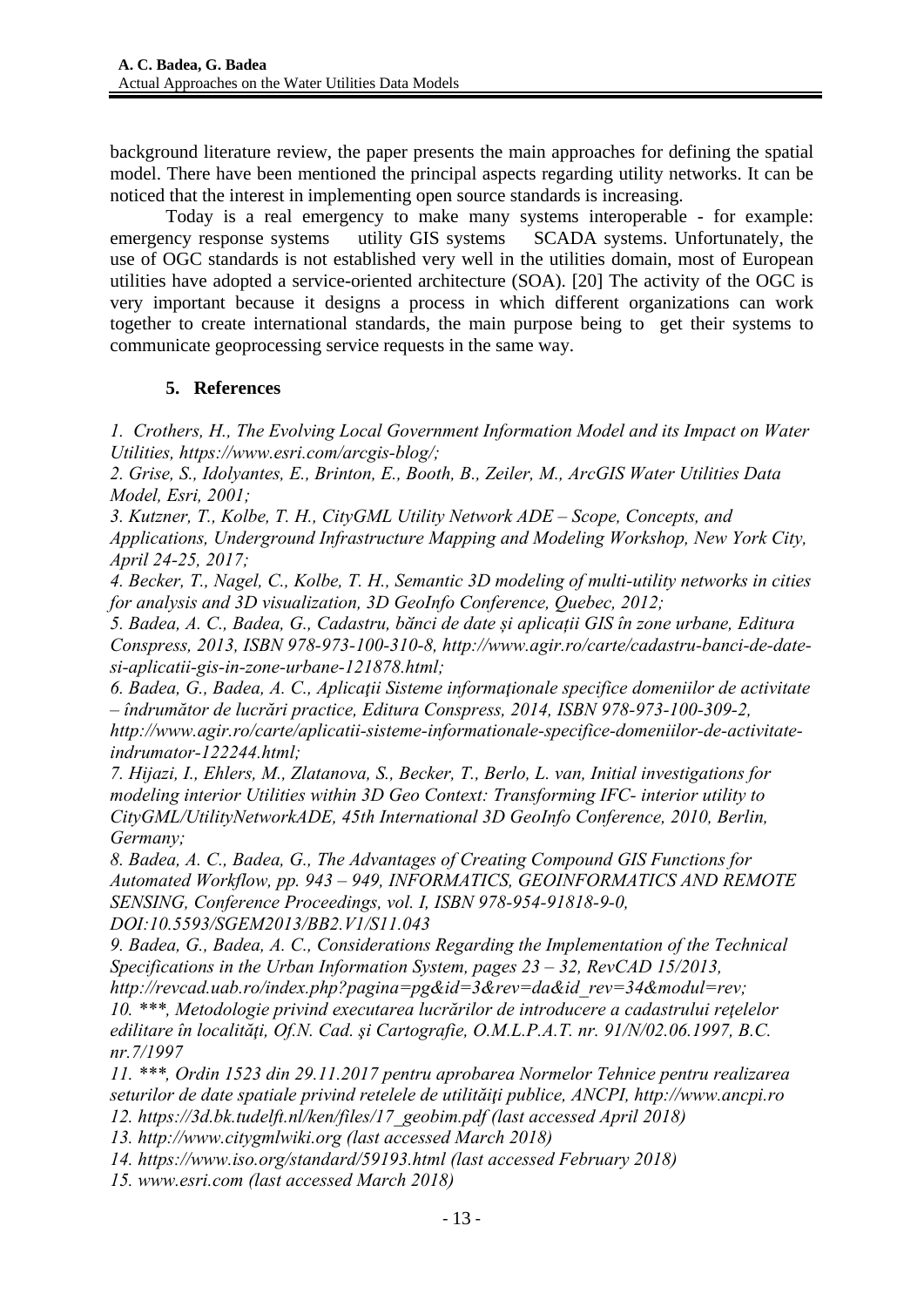background literature review, the paper presents the main approaches for defining the spatial model. There have been mentioned the principal aspects regarding utility networks. It can be noticed that the interest in implementing open source standards is increasing.

Today is a real emergency to make many systems interoperable - for example: emergency response systems utility GIS systems SCADA systems. Unfortunately, the use of OGC standards is not established very well in the utilities domain, most of European utilities have adopted a service-oriented architecture (SOA). [20] The activity of the OGC is very important because it designs a process in which different organizations can work together to create international standards, the main purpose being to get their systems to communicate geoprocessing service requests in the same way.

## **5. References**

*1. Crothers, H., The Evolving Local Government Information Model and its Impact on Water Utilities, https://www.esri.com/arcgis-blog/;* 

*2. Grise, S., Idolyantes, E., Brinton, E., Booth, B., Zeiler, M., ArcGIS Water Utilities Data Model, Esri, 2001;* 

*3. Kutzner, T., Kolbe, T. H., CityGML Utility Network ADE – Scope, Concepts, and Applications, Underground Infrastructure Mapping and Modeling Workshop, New York City, April 24-25, 2017;* 

*4. Becker, T., Nagel, C., Kolbe, T. H., Semantic 3D modeling of multi-utility networks in cities for analysis and 3D visualization, 3D GeoInfo Conference, Quebec, 2012;* 

*5. Badea, A. C., Badea, G., Cadastru, bӑnci de date și aplicații GIS în zone urbane, Editura Conspress, 2013, ISBN 978-973-100-310-8, http://www.agir.ro/carte/cadastru-banci-de-datesi-aplicatii-gis-in-zone-urbane-121878.html;* 

*6. Badea, G., Badea, A. C., Aplicaţii Sisteme informaţionale specifice domeniilor de activitate – îndrumător de lucrări practice, Editura Conspress, 2014, ISBN 978-973-100-309-2, http://www.agir.ro/carte/aplicatii-sisteme-informationale-specifice-domeniilor-de-activitate-*

*indrumator-122244.html;* 

*7. Hijazi, I., Ehlers, M., Zlatanova, S., Becker, T., Berlo, L. van, Initial investigations for modeling interior Utilities within 3D Geo Context: Transforming IFC- interior utility to CityGML/UtilityNetworkADE, 45th International 3D GeoInfo Conference, 2010, Berlin, Germany;* 

*8. Badea, A. C., Badea, G., The Advantages of Creating Compound GIS Functions for Automated Workflow, pp. 943 – 949, INFORMATICS, GEOINFORMATICS AND REMOTE SENSING, Conference Proceedings, vol. I, ISBN 978-954-91818-9-0, DOI:10.5593/SGEM2013/BB2.V1/S11.043* 

*9. Badea, G., Badea, A. C., Considerations Regarding the Implementation of the Technical Specifications in the Urban Information System, pages 23 – 32, RevCAD 15/2013,* 

*http://revcad.uab.ro/index.php?pagina=pg&id=3&rev=da&id\_rev=34&modul=rev; 10. \*\*\*, Metodologie privind executarea lucrărilor de introducere a cadastrului reţelelor edilitare în localităţi, Of.N. Cad. şi Cartografie, O.M.L.P.A.T. nr. 91/N/02.06.1997, B.C. nr.7/1997* 

*11. \*\*\*, Ordin 1523 din 29.11.2017 pentru aprobarea Normelor Tehnice pentru realizarea seturilor de date spatiale privind retelele de utilităiţi publice, ANCPI, http://www.ancpi.ro 12. https://3d.bk.tudelft.nl/ken/files/17\_geobim.pdf (last accessed April 2018)* 

*13. http://www.citygmlwiki.org (last accessed March 2018)* 

*14. https://www.iso.org/standard/59193.html (last accessed February 2018)* 

*15. www.esri.com (last accessed March 2018)*